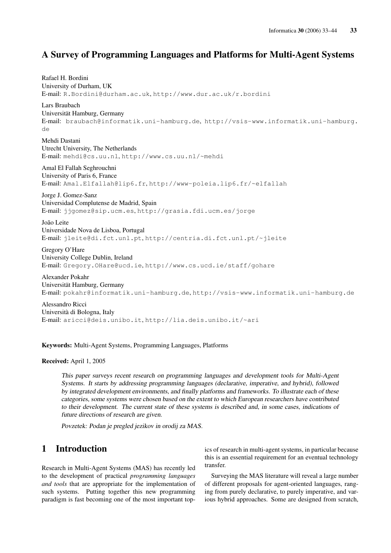# A Survey of Programming Languages and Platforms for Multi-Agent Systems

Rafael H. Bordini University of Durham, UK E-mail: R.Bordini@durham.ac.uk, http://www.dur.ac.uk/r.bordini Lars Braubach Universität Hamburg, Germany E-mail: braubach@informatik.uni-hamburg.de, http://vsis-www.informatik.uni-hamburg. de Mehdi Dastani Utrecht University, The Netherlands E-mail: mehdi@cs.uu.nl, http://www.cs.uu.nl/~mehdi Amal El Fallah Seghrouchni University of Paris 6, France E-mail: Amal.Elfallah@lip6.fr, http://www-poleia.lip6.fr/~elfallah Jorge J. Gomez-Sanz Universidad Complutense de Madrid, Spain E-mail: jjgomez@sip.ucm.es, http://grasia.fdi.ucm.es/jorge João Leite Universidade Nova de Lisboa, Portugal E-mail: jleite@di.fct.unl.pt, http://centria.di.fct.unl.pt/~jleite Gregory O'Hare University College Dublin, Ireland E-mail: Gregory.OHare@ucd.ie, http://www.cs.ucd.ie/staff/gohare Alexander Pokahr Universität Hamburg, Germany E-mail: pokahr@informatik.uni-hamburg.de, http://vsis-www.informatik.uni-hamburg.de Alessandro Ricci

Università di Bologna, Italy E-mail: aricci@deis.unibo.it, http://lia.deis.unibo.it/~ari

### Keywords: Multi-Agent Systems, Programming Languages, Platforms

#### Received: April 1, 2005

This paper surveys recent research on programming languages and development tools for Multi-Agent Systems. It starts by addressing programming languages (declarative, imperative, and hybrid), followed by integrated development environments, and finally platforms and frameworks. To illustrate each of these categories, some systems were chosen based on the extent to which European researchers have contributed to their development. The current state of these systems is described and, in some cases, indications of future directions of research are given.

Povzetek: Podan je pregled jezikov in orodij za MAS.

# 1 Introduction

Research in Multi-Agent Systems (MAS) has recently led to the development of practical *programming languages and tools* that are appropriate for the implementation of such systems. Putting together this new programming paradigm is fast becoming one of the most important topics of research in multi-agent systems, in particular because this is an essential requirement for an eventual technology transfer.

Surveying the MAS literature will reveal a large number of different proposals for agent-oriented languages, ranging from purely declarative, to purely imperative, and various hybrid approaches. Some are designed from scratch,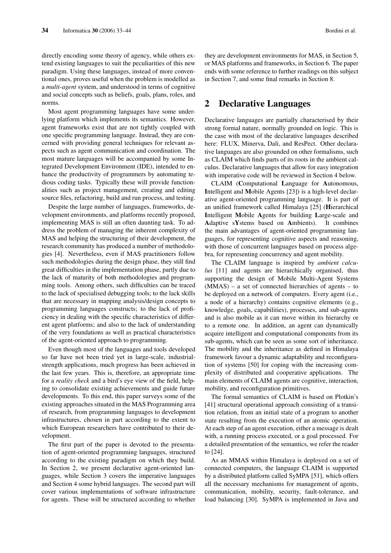directly encoding some theory of agency, while others extend existing languages to suit the peculiarities of this new paradigm. Using these languages, instead of more conventional ones, proves useful when the problem is modelled as a *multi-agent* system, and understood in terms of cognitive and social concepts such as beliefs, goals, plans, roles, and norms.

Most agent programming languages have some underlying platform which implements its semantics. However, agent frameworks exist that are not tightly coupled with one specific programming language. Instead, they are concerned with providing general techniques for relevant aspects such as agent communication and coordination. The most mature languages will be accompanied by some Integrated Development Environment (IDE), intended to enhance the productivity of programmers by automating tedious coding tasks. Typically these will provide functionalities such as project management, creating and editing source files, refactoring, build and run process, and testing.

Despite the large number of languages, frameworks, development environments, and platforms recently proposed, implementing MAS is still an often daunting task. To address the problem of managing the inherent complexity of MAS and helping the structuring of their development, the research community has produced a number of methodologies [4]. Nevertheless, even if MAS practitioners follow such methodologies during the design phase, they still find great difficulties in the implementation phase, partly due to the lack of maturity of both methodologies and programming tools. Among others, such difficulties can be traced to the lack of specialised debugging tools; to the lack skills that are necessary in mapping analysis/design concepts to programming languages constructs; to the lack of proficiency in dealing with the specific characteristics of different agent platforms; and also to the lack of understanding of the very foundations as well as practical characteristics of the agent-oriented approach to programming.

Even though most of the languages and tools developed so far have not been tried yet in large-scale, industrialstrength applications, much progress has been achieved in the last few years. This is, therefore, an appropriate time for a *reality check* and a bird's eye view of the field, helping to consolidate existing achievements and guide future developments. To this end, this paper surveys some of the existing approaches situated in the MAS Programming area of research, from programming languages to development infrastructures, chosen in part according to the extent to which European researchers have contributed to their development.

The first part of the paper is devoted to the presentation of agent-oriented programming languages, structured according to the existing paradigm on which they build. In Section 2, we present declarative agent-oriented languages, while Section 3 covers the imperative languages and Section 4 some hybrid languages. The second part will cover various implementations of software infrastructure for agents. These will be structured according to whether they are development environments for MAS, in Section 5, or MAS platforms and frameworks, in Section 6. The paper ends with some reference to further readings on this subject in Section 7, and some final remarks in Section 8.

### 2 Declarative Languages

Declarative languages are partially characterised by their strong formal nature, normally grounded on logic. This is the case with most of the declarative languages described here: FLUX, Minerva, Dali, and ResPect. Other declarative languages are also grounded on other formalisms, such as CLAIM which finds parts of its roots in the ambient calculus. Declarative languages that allow for easy integration with imperative code will be reviewed in Section 4 below.

CLAIM (Computational Language for Autonomous, Intelligent and Mobile Agents [23]) is a high-level declarative agent-oriented programming language. It is part of an unified framework called Himalaya [25] (Hierarchical Intelligent Mobile Agents for building Large-scale and Adaptive sYstems based on Ambients). It combines the main advantages of agent-oriented programming languages, for representing cognitive aspects and reasoning, with those of concurrent languages based on process algebra, for representing concurrency and agent mobility.

The CLAIM language is inspired by *ambient calculus* [11] and agents are hierarchically organised, thus supporting the design of Mobile Multi-Agent Systems (MMAS) – a set of connected hierarchies of agents – to be deployed on a network of computers. Every agent (i.e., a node of a hierarchy) contains cognitive elements (e.g., knowledge, goals, capabilities), processes, and sub-agents and is also mobile as it can move within its hierarchy or to a remote one. In addition, an agent can dynamically acquire intelligent and computational components from its sub-agents, which can be seen as some sort of inheritance. The mobility and the inheritance as defined in Himalaya framework favour a dynamic adaptability and reconfiguration of systems [50] for coping with the increasing complexity of distributed and cooperative applications. The main elements of CLAIM agents are cognitive, interaction, mobility, and reconfiguration primitives.

The formal semantics of CLAIM is based on Plotkin's [41] structural operational approach consisting of a transition relation, from an initial state of a program to another state resulting from the execution of an atomic operation. At each step of an agent execution, either a message is dealt with, a running process executed, or a goal processed. For a detailed presentation of the semantics, we refer the reader to [24].

As an MMAS within Himalaya is deployed on a set of connected computers, the language CLAIM is supported by a distributed platform called SyMPA [51], which offers all the necessary mechanisms for management of agents, communication, mobility, security, fault-tolerance, and load balancing [30]. SyMPA is implemented in Java and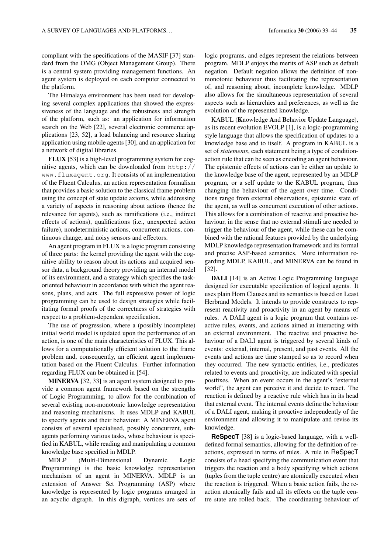compliant with the specifications of the MASIF [37] standard from the OMG (Object Management Group). There is a central system providing management functions. An agent system is deployed on each computer connected to the platform.

The Himalaya environment has been used for developing several complex applications that showed the expressiveness of the language and the robustness and strength of the platform, such as: an application for information search on the Web [22], several electronic commerce applications [23, 52], a load balancing and resource sharing application using mobile agents [30], and an application for a network of digital libraries.

FLUX [53] is a high-level programming system for cognitive agents, which can be downloaded from  $http://$ www.fluxagent.org. It consists of an implementation of the Fluent Calculus, an action representation formalism that provides a basic solution to the classical frame problem using the concept of state update axioms, while addressing a variety of aspects in reasoning about actions (hence the relevance for agents), such as ramifications (i.e., indirect effects of actions), qualifications (i.e., unexpected action failure), nondeterministic actions, concurrent actions, continuous change, and noisy sensors and effectors.

An agent program in FLUX is a logic program consisting of three parts: the kernel providing the agent with the cognitive ability to reason about its actions and acquired sensor data, a background theory providing an internal model of its environment, and a strategy which specifies the taskoriented behaviour in accordance with which the agent reasons, plans, and acts. The full expressive power of logic programming can be used to design strategies while facilitating formal proofs of the correctness of strategies with respect to a problem-dependent specification.

The use of progression, where a (possibly incomplete) initial world model is updated upon the performance of an action, is one of the main characteristics of FLUX. This allows for a computationally efficient solution to the frame problem and, consequently, an efficient agent implementation based on the Fluent Calculus. Further information regarding FLUX can be obtained in [54].

MINERVA [32, 33] is an agent system designed to provide a common agent framework based on the strengths of Logic Programming, to allow for the combination of several existing non-monotonic knowledge representation and reasoning mechanisms. It uses MDLP and KABUL to specify agents and their behaviour. A MINERVA agent consists of several specialised, possibly concurrent, subagents performing various tasks, whose behaviour is specified in KABUL, while reading and manipulating a common knowledge base specified in MDLP.

MDLP (Multi-Dimensional Dynamic Logic Programming) is the basic knowledge representation mechanism of an agent in MINERVA. MDLP is an extension of Answer Set Programming (ASP) where knowledge is represented by logic programs arranged in an acyclic digraph. In this digraph, vertices are sets of logic programs, and edges represent the relations between program. MDLP enjoys the merits of ASP such as default negation. Default negation allows the definition of nonmonotonic behaviour thus facilitating the representation of, and reasoning about, incomplete knowledge. MDLP also allows for the simultaneous representation of several aspects such as hierarchies and preferences, as well as the evolution of the represented knowledge.

KABUL (Knowledge And Behavior Update Language), as its recent evolution EVOLP [1], is a logic-programming style language that allows the specification of updates to a knowledge base and to itself. A program in KABUL is a set of *statements*, each statement being a type of conditionaction rule that can be seen as encoding an agent behaviour. The epistemic effects of actions can be either an update to the knowledge base of the agent, represented by an MDLP program, or a self update to the KABUL program, thus changing the behaviour of the agent over time. Conditions range from external observations, epistemic state of the agent, as well as concurrent execution of other actions. This allows for a combination of reactive and proactive behaviour, in the sense that no external stimuli are needed to trigger the behaviour of the agent, while these can be combined with the rational features provided by the underlying MDLP knowledge representation framework and its formal and precise ASP-based semantics. More information regarding MDLP, KABUL, and MINERVA can be found in [32].

DALI [14] is an Active Logic Programming language designed for executable specification of logical agents. It uses plain Horn Clauses and its semantics is based on Least Herbrand Models. It intends to provide constructs to represent reactivity and proactivity in an agent by means of rules. A DALI agent is a logic program that contains reactive rules, events, and actions aimed at interacting with an external environment. The reactive and proactive behaviour of a DALI agent is triggered by several kinds of events: external, internal, present, and past events. All the events and actions are time stamped so as to record when they occurred. The new syntactic entities, i.e., predicates related to events and proactivity, are indicated with special postfixes. When an event occurs in the agent's "external world", the agent can perceive it and decide to react. The reaction is defined by a reactive rule which has in its head that external event. The internal events define the behaviour of a DALI agent, making it proactive independently of the environment and allowing it to manipulate and revise its knowledge.

**ReSpecT** [38] is a logic-based language, with a welldefined formal semantics, allowing for the definition of reactions, expressed in terms of rules. A rule in ReSpecT consists of a head specifying the communication event that triggers the reaction and a body specifying which actions (tuples from the tuple centre) are atomically executed when the reaction is triggered. When a basic action fails, the reaction atomically fails and all its effects on the tuple centre state are rolled back. The coordinating behaviour of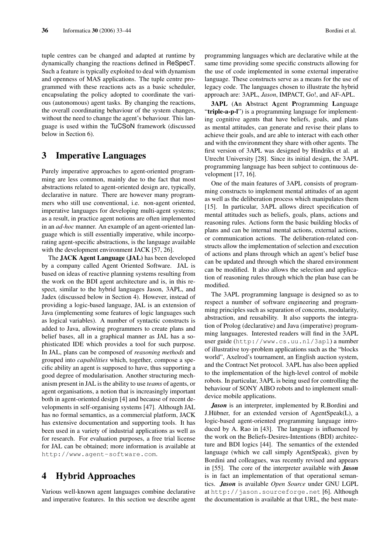tuple centres can be changed and adapted at runtime by dynamically changing the reactions defined in ReSpecT. Such a feature is typically exploited to deal with dynamism and openness of MAS applications. The tuple centre programmed with these reactions acts as a basic scheduler, encapsulating the policy adopted to coordinate the various (autonomous) agent tasks. By changing the reactions, the overall coordinating behaviour of the system changes, without the need to change the agent's behaviour. This language is used within the TuCSoN framework (discussed below in Section 6).

# 3 Imperative Languages

Purely imperative approaches to agent-oriented programming are less common, mainly due to the fact that most abstractions related to agent-oriented design are, typically, declarative in nature. There are however many programmers who still use conventional, i.e. non-agent oriented, imperative languages for developing multi-agent systems; as a result, in practice agent notions are often implemented in an *ad-hoc* manner. An example of an agent-oriented language which is still essentially imperative, while incorporating agent-specific abstractions, is the language available with the development environment JACK [57, 26].

The JACK Agent Language (JAL) has been developed by a company called Agent Oriented Software. JAL is based on ideas of reactive planning systems resulting from the work on the BDI agent architecture and is, in this respect, similar to the hybrid languages Jason, 3APL, and Jadex (discussed below in Section 4). However, instead of providing a logic-based language, JAL is an extension of Java (implementing some features of logic languages such as logical variables). A number of syntactic constructs is added to Java, allowing programmers to create plans and belief bases, all in a graphical manner as JAL has a sophisticated IDE which provides a tool for such purpose. In JAL, plans can be composed of *reasoning methods* and grouped into *capabilities* which, together, compose a specific ability an agent is supposed to have, thus supporting a good degree of modularisation. Another structuring mechanism present in JAL is the ability to use *teams* of agents, or agent organisations, a notion that is increasingly important both in agent-oriented design [4] and because of recent developments in self-organising systems [47]. Although JAL has no formal semantics, as a commercial platform, JACK has extensive documentation and supporting tools. It has been used in a variety of industrial applications as well as for research. For evaluation purposes, a free trial license for JAL can be obtained; more information is available at http://www.agent-software.com.

# 4 Hybrid Approaches

Various well-known agent languages combine declarative and imperative features. In this section we describe agent programming languages which are declarative while at the same time providing some specific constructs allowing for the use of code implemented in some external imperative language. These constructs serve as a means for the use of legacy code. The languages chosen to illustrate the hybrid approach are: 3APL, *Jason*, IMPACT, Go!, and AF-APL.

3APL (An Abstract Agent Programming Language "triple-a-p-l") is a programming language for implementing cognitive agents that have beliefs, goals, and plans as mental attitudes, can generate and revise their plans to achieve their goals, and are able to interact with each other and with the environment they share with other agents. The first version of 3APL was designed by Hindriks et al. at Utrecht University [28]. Since its initial design, the 3APL programming language has been subject to continuous development [17, 16].

One of the main features of 3APL consists of programming constructs to implement mental attitudes of an agent as well as the deliberation process which manipulates them [15]. In particular, 3APL allows direct specification of mental attitudes such as beliefs, goals, plans, actions and reasoning rules. Actions form the basic building blocks of plans and can be internal mental actions, external actions, or communication actions. The deliberation-related constructs allow the implementation of selection and execution of actions and plans through which an agent's belief base can be updated and through which the shared environment can be modified. It also allows the selection and application of reasoning rules through which the plan base can be modified.

The 3APL programming language is designed so as to respect a number of software engineering and programming principles such as separation of concerns, modularity, abstraction, and reusability. It also supports the integration of Prolog (declarative) and Java (imperative) programming languages. Interested readers will find in the 3APL user guide (http://www.cs.uu.nl/3apl) a number of illustrative toy-problem applications such as the "blocks world", Axelrod's tournament, an English auction system, and the Contract Net protocol. 3APL has also been applied to the implementation of the high-level control of mobile robots. In particular, 3APL is being used for controlling the behaviour of SONY AIBO robots and to implement smalldevice mobile applications.

*Jason* is an interpreter, implemented by R.Bordini and J.Hübner, for an extended version of AgentSpeak(L), a logic-based agent-oriented programming language introduced by A. Rao in [43]. The language is influenced by the work on the Beliefs-Desires-Intentions (BDI) architecture and BDI logics [44]. The semantics of the extended language (which we call simply AgentSpeak), given by Bordini and colleagues, was recently revised and appears in [55]. The core of the interpreter available with *Jason* is in fact an implementation of that operational semantics. *Jason* is available *Open Source* under GNU LGPL at http://jason.sourceforge.net [6]. Although the documentation is available at that URL, the best mate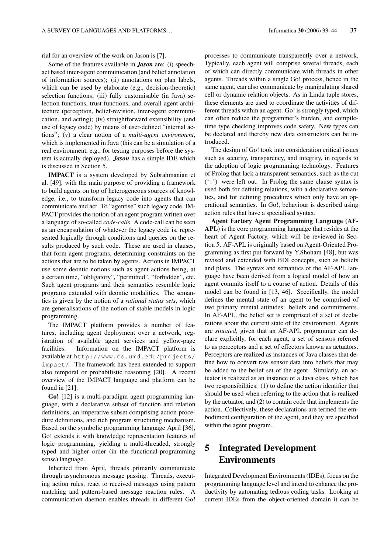rial for an overview of the work on Jason is [7].

Some of the features available in *Jason* are: (i) speechact based inter-agent communication (and belief annotation of information sources); (ii) annotations on plan labels, which can be used by elaborate (e.g., decision-theoretic) selection functions; (iii) fully customisable (in Java) selection functions, trust functions, and overall agent architecture (perception, belief-revision, inter-agent communication, and acting); (iv) straightforward extensibility (and use of legacy code) by means of user-defined "internal actions"; (v) a clear notion of a *multi-agent environment*, which is implemented in Java (this can be a simulation of a real environment, e.g., for testing purposes before the system is actually deployed). *Jason* has a simple IDE which is discussed in Section 5.

IMPACT is a system developed by Subrahmanian et al. [49], with the main purpose of providing a framework to build agents on top of heterogeneous sources of knowledge, i.e., to transform legacy code into agents that can communicate and act. To "agentise" such legacy code, IM-PACT provides the notion of an agent program written over a language of so-called *code-calls*. A code-call can be seen as an encapsulation of whatever the legacy code is, represented logically through conditions and queries on the results produced by such code. These are used in clauses, that form agent programs, determining constraints on the actions that are to be taken by agents. Actions in IMPACT use some deontic notions such as agent actions being, at a certain time, "obligatory", "permitted", "forbidden", etc. Such agent programs and their semantics resemble logic programs extended with deontic modalities. The semantics is given by the notion of a *rational status sets*, which are generalisations of the notion of stable models in logic programming.

The IMPACT platform provides a number of features, including agent deployment over a network, registration of available agent services and yellow-page facilities. Information on the IMPACT platform is available at http://www.cs.umd.edu/projects/ impact/. The framework has been extended to support also temporal or probabilistic reasoning [20]. A recent overview of the IMPACT language and platform can be found in [21].

Go! [12] is a multi-paradigm agent programming language, with a declarative subset of function and relation definitions, an imperative subset comprising action procedure definitions, and rich program structuring mechanism. Based on the symbolic programming language April [36], Go! extends it with knowledge representation features of logic programming, yielding a multi-threaded, strongly typed and higher order (in the functional-programming sense) language.

Inherited from April, threads primarily communicate through asynchronous message passing. Threads, executing action rules, react to received messages using pattern matching and pattern-based message reaction rules. A communication daemon enables threads in different Go!

processes to communicate transparently over a network. Typically, each agent will comprise several threads, each of which can directly communicate with threads in other agents. Threads within a single Go! process, hence in the same agent, can also communicate by manipulating shared cell or dynamic relation objects. As in Linda tuple stores, these elements are used to coordinate the activities of different threads within an agent. Go! is strongly typed, which can often reduce the programmer's burden, and compiletime type checking improves code safety. New types can be declared and thereby new data constructors can be introduced.

The design of Go! took into consideration critical issues such as security, transparency, and integrity, in regards to the adoption of logic programming technology. Features of Prolog that lack a transparent semantics, such as the cut ('!') were left out. In Prolog the same clause syntax is used both for defining relations, with a declarative semantics, and for defining procedures which only have an operational semantics. In Go!, behaviour is described using action rules that have a specialised syntax.

Agent Factory Agent Programming Language (AF-APL) is the core programming language that resides at the heart of Agent Factory, which will be reviewed in Section 5. AF-APL is originally based on Agent-Oriented Programming as first put forward by Y.Shoham [48], but was revised and extended with BDI concepts, such as beliefs and plans. The syntax and semantics of the AF-APL language have been derived from a logical model of how an agent commits itself to a course of action. Details of this model can be found in [13, 46]. Specifically, the model defines the mental state of an agent to be comprised of two primary mental attitudes: beliefs and commitments. In AF-APL, the belief set is comprised of a set of declarations about the current state of the environment. Agents are *situated*, given that an AF-APL programmer can declare explicitly, for each agent, a set of sensors referred to as perceptors and a set of effectors known as actuators. Perceptors are realized as instances of Java classes that define how to convert raw sensor data into beliefs that may be added to the belief set of the agent. Similarly, an actuator is realized as an instance of a Java class, which has two responsibilities: (1) to define the action identifier that should be used when referring to the action that is realized by the actuator, and (2) to contain code that implements the action. Collectively, these declarations are termed the embodiment configuration of the agent, and they are specified within the agent program.

# 5 Integrated Development Environments

Integrated Development Environments (IDEs), focus on the programming language level and intend to enhance the productivity by automating tedious coding tasks. Looking at current IDEs from the object-oriented domain it can be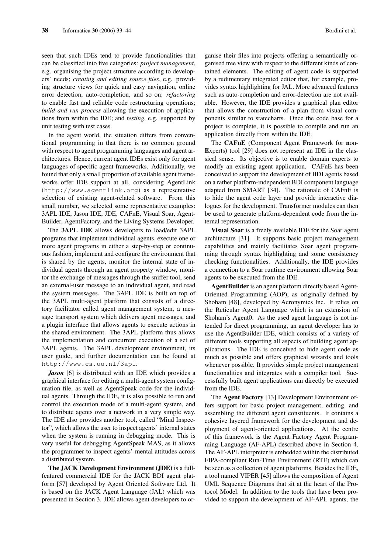seen that such IDEs tend to provide functionalities that can be classified into five categories: *project management*, e.g. organising the project structure according to developers' needs; *creating and editing source files*, e.g. providing structure views for quick and easy navigation, online error detection, auto-completion, and so on; *refactoring* to enable fast and reliable code restructuring operations; *build and run process* allowing the execution of applications from within the IDE; and *testing*, e.g. supported by unit testing with test cases.

In the agent world, the situation differs from conventional programming in that there is no common ground with respect to agent programming languages and agent architectures. Hence, current agent IDEs exist only for agent languages of specific agent frameworks. Additionally, we found that only a small proportion of available agent frameworks offer IDE support at all, considering AgentLink (http://www.agentlink.org) as a representative selection of existing agent-related software. From this small number, we selected some representative examples: 3APL IDE, Jason IDE, JDE, CAFnE, Visual Soar, Agent-Builder, AgentFactory, and the Living Systems Developer.

The 3APL IDE allows developers to load/edit 3APL programs that implement individual agents, execute one or more agent programs in either a step-by-step or continuous fashion, implement and configure the environment that is shared by the agents, monitor the internal state of individual agents through an agent property window, monitor the exchange of messages through the sniffer tool, send an external-user message to an individual agent, and read the system messages. The 3APL IDE is built on top of the 3APL multi-agent platform that consists of a directory facilitator called agent management system, a message transport system which delivers agent messages, and a plugin interface that allows agents to execute actions in the shared environment. The 3APL platform thus allows the implementation and concurrent execution of a set of 3APL agents. The 3APL development environment, its user guide, and further documentation can be found at http://www.cs.uu.nl/3apl.

*Jason* [6] is distributed with an IDE which provides a graphical interface for editing a multi-agent system configuration file, as well as AgentSpeak code for the individual agents. Through the IDE, it is also possible to run and control the execution mode of a multi-agent system, and to distribute agents over a network in a very simple way. The IDE also provides another tool, called "Mind Inspector", which allows the user to inspect agents' internal states when the system is running in debugging mode. This is very useful for debugging AgentSpeak MAS, as it allows the programmer to inspect agents' mental attitudes across a distributed system.

The JACK Development Environment (JDE) is a fullfeatured commercial IDE for the JACK BDI agent platform [57] developed by Agent Oriented Software Ltd. It is based on the JACK Agent Language (JAL) which was presented in Section 3. JDE allows agent developers to organise their files into projects offering a semantically organised tree view with respect to the different kinds of contained elements. The editing of agent code is supported by a rudimentary integrated editor that, for example, provides syntax highlighting for JAL. More advanced features such as auto-completion and error-detection are not available. However, the IDE provides a graphical plan editor that allows the construction of a plan from visual components similar to statecharts. Once the code base for a project is complete, it is possible to compile and run an application directly from within the IDE.

The CAFnE (Component Agent Framework for non-Experts) tool [29] does not represent an IDE in the classical sense. Its objective is to enable domain experts to modify an existing agent application. CAFnE has been conceived to support the development of BDI agents based on a rather platform-independent BDI component language adapted from SMART [34]. The rationale of CAFnE is to hide the agent code layer and provide interactive dialogues for the development. Transformer modules can then be used to generate platform-dependent code from the internal representation.

Visual Soar is a freely available IDE for the Soar agent architecture [31]. It supports basic project management capabilities and mainly facilitates Soar agent programming through syntax highlighting and some consistency checking functionalities. Additionally, the IDE provides a connection to a Soar runtime environment allowing Soar agents to be executed from the IDE.

AgentBuilder is an agent platform directly based Agent-Oriented Programming (AOP), as originally defined by Shoham [48], developed by Acronymics Inc. It relies on the Reticular Agent Language which is an extension of Shoham's Agent0. As the used agent language is not intended for direct programming, an agent developer has to use the AgentBuilder IDE, which consists of a variety of different tools supporting all aspects of building agent applications. The IDE is conceived to hide agent code as much as possible and offers graphical wizards and tools whenever possible. It provides simple project management functionalities and integrates with a compiler tool. Successfully built agent applications can directly be executed from the IDE.

The Agent Factory [13] Development Environment offers support for basic project management, editing, and assembling the different agent constituents. It contains a cohesive layered framework for the development and deployment of agent-oriented applications. At the centre of this framework is the Agent Factory Agent Programming Language (AF-APL) described above in Section 4. The AF-APL interpreter is embedded within the distributed FIPA-compliant Run-Time Environment (RTE) which can be seen as a collection of agent platforms. Besides the IDE, a tool named VIPER [45] allows the composition of Agent UML Sequence Diagrams that sit at the heart of the Protocol Model. In addition to the tools that have been provided to support the development of AF-APL agents, the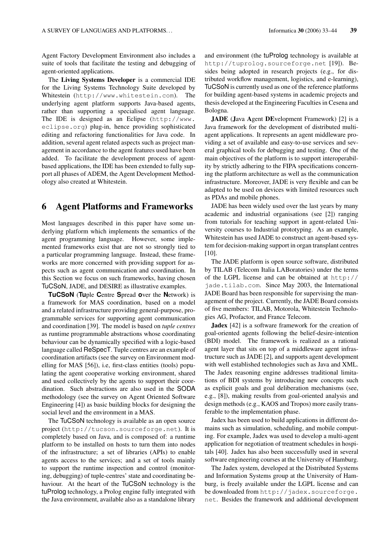Agent Factory Development Environment also includes a suite of tools that facilitate the testing and debugging of agent-oriented applications.

The Living Systems Developer is a commercial IDE for the Living Systems Technology Suite developed by Whitestein (http://www.whitestein.com). The underlying agent platform supports Java-based agents, rather than supporting a specialised agent language. The IDE is designed as an Eclipse (http://www. eclipse.org) plug-in, hence providing sophisticated editing and refactoring functionalities for Java code. In addition, several agent related aspects such as project management in accordance to the agent features used have been added. To facilitate the development process of agentbased applications, the IDE has been extended to fully support all phases of ADEM, the Agent Development Methodology also created at Whitestein.

## 6 Agent Platforms and Frameworks

Most languages described in this paper have some underlying platform which implements the semantics of the agent programming language. However, some implemented frameworks exist that are not so strongly tied to a particular programming language. Instead, these frameworks are more concerned with providing support for aspects such as agent communication and coordination. In this Section we focus on such frameworks, having chosen TuCSoN, JADE, and DESIRE as illustrative examples.

**TuCSoN** (**Tu**ple **C**entre **S**pread **o**ver the **N**etwork) is a framework for MAS coordination, based on a model and a related infrastructure providing general-purpose, programmable services for supporting agent communication and coordination [39]. The model is based on *tuple centres* as runtime programmable abstractions whose coordinating behaviour can be dynamically specified with a logic-based language called ReSpecT. Tuple centres are an example of coordination artifacts (see the survey on Environment modelling for MAS [56]), i.e, first-class entities (tools) populating the agent cooperative working environment, shared and used collectively by the agents to support their coordination. Such abstractions are also used in the SODA methodology (see the survey on Agent Oriented Software Engineering [4]) as basic building blocks for designing the social level and the environment in a MAS.

The TuCSoN technology is available as an open source project (http://tucson.sourceforge.net). It is completely based on Java, and is composed of: a runtime platform to be installed on hosts to turn them into nodes of the infrastructure; a set of libraries (APIs) to enable agents access to the services; and a set of tools mainly to support the runtime inspection and control (monitoring, debugging) of tuple-centres' state and coordinating behaviour. At the heart of the TuCSoN technology is the tuProlog technology, a Prolog engine fully integrated with the Java environment, available also as a standalone library and environment (the tuProlog technology is available at http://tuprolog.sourceforge.net [19]). Besides being adopted in research projects (e.g., for distributed workflow management, logistics, and e-learning), TuCSoN is currently used as one of the reference platforms for building agent-based systems in academic projects and thesis developed at the Engineering Faculties in Cesena and Bologna.

JADE (Java Agent DEvelopment Framework) [2] is a Java framework for the development of distributed multiagent applications. It represents an agent middleware providing a set of available and easy-to-use services and several graphical tools for debugging and testing. One of the main objectives of the platform is to support interoperability by strictly adhering to the FIPA specifications concerning the platform architecture as well as the communication infrastructure. Moreover, JADE is very flexible and can be adapted to be used on devices with limited resources such as PDAs and mobile phones.

JADE has been widely used over the last years by many academic and industrial organisations (see [2]) ranging from tutorials for teaching support in agent-related University courses to Industrial prototyping. As an example, Whitestein has used JADE to construct an agent-based system for decision-making support in organ transplant centres [10].

The JADE platform is open source software, distributed by TILAB (Telecom Italia LABoratories) under the terms of the LGPL license and can be obtained at http:// jade.tilab.com. Since May 2003, the International JADE Board has been responsible for supervising the management of the project. Currently, the JADE Board consists of five members: TILAB, Motorola, Whitestein Technologies AG, Profactor, and France Telecom.

Jadex [42] is a software framework for the creation of goal-oriented agents following the belief-desire-intention (BDI) model. The framework is realized as a rational agent layer that sits on top of a middleware agent infrastructure such as JADE [2], and supports agent development with well established technologies such as Java and XML. The Jadex reasoning engine addresses traditional limitations of BDI systems by introducing new concepts such as explicit goals and goal deliberation mechanisms (see, e.g., [8]), making results from goal-oriented analysis and design methods (e.g., KAOS and Tropos) more easily transferable to the implementation phase.

Jadex has been used to build applications in different domains such as simulation, scheduling, and mobile computing. For example, Jadex was used to develop a multi-agent application for negotiation of treatment schedules in hospitals [40]. Jadex has also been successfully used in several software engineering courses at the University of Hamburg.

The Jadex system, developed at the Distributed Systems and Information Systems group at the University of Hamburg, is freely available under the LGPL license and can be downloaded from http://jadex.sourceforge. net. Besides the framework and additional development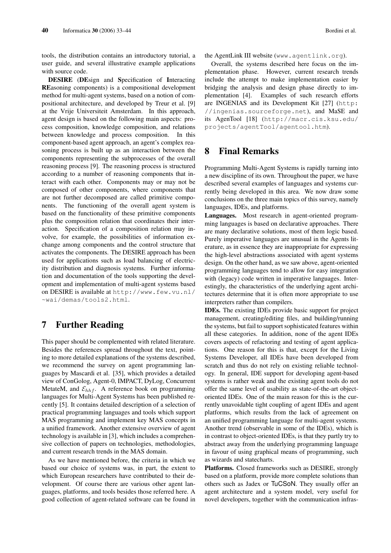tools, the distribution contains an introductory tutorial, a user guide, and several illustrative example applications with source code.

DESIRE (DEsign and Specification of Interacting REasoning components) is a compositional development method for multi-agent systems, based on a notion of compositional architecture, and developed by Treur et al. [9] at the Vrije Universiteit Amsterdam. In this approach, agent design is based on the following main aspects: process composition, knowledge composition, and relations between knowledge and process composition. In this component-based agent approach, an agent's complex reasoning process is built up as an interaction between the components representing the subprocesses of the overall reasoning process [9]. The reasoning process is structured according to a number of reasoning components that interact with each other. Components may or may not be composed of other components, where components that are not further decomposed are called primitive components. The functioning of the overall agent system is based on the functionality of these primitive components plus the composition relation that coordinates their interaction. Specification of a composition relation may involve, for example, the possibilities of information exchange among components and the control structure that activates the components. The DESIRE approach has been used for applications such as load balancing of electricity distribution and diagnosis systems. Further information and documentation of the tools supporting the development and implementation of multi-agent systems based on DESIRE is available at http://www.few.vu.nl/ ~wai/demas/tools2.html.

# 7 Further Reading

This paper should be complemented with related literature. Besides the references spread throughout the text, pointing to more detailed explanations of the systems described, we recommend the survey on agent programming languages by Mascardi et al. [35], which provides a detailed view of ConGolog, Agent-0, IMPACT, DyLog, Concurrent MetateM, and  $\mathcal{E}_{hhf}$ . A reference book on programming languages for Multi-Agent Systems has been published recently [5]. It contains detailed description of a selection of practical programming languages and tools which support MAS programming and implement key MAS concepts in a unified framework. Another extensive overview of agent technology is available in [3], which includes a comprehensive collection of papers on technologies, methodologies, and current research trends in the MAS domain.

As we have mentioned before, the criteria in which we based our choice of systems was, in part, the extent to which European researchers have contributed to their development. Of course there are various other agent languages, platforms, and tools besides those referred here. A good collection of agent-related software can be found in the AgentLink III website (www.agentlink.org).

Overall, the systems described here focus on the implementation phase. However, current research trends include the attempt to make implementation easier by bridging the analysis and design phase directly to implementation [4]. Examples of such research efforts are INGENIAS and its Development Kit [27] (http: //ingenias.sourceforge.net), and MaSE and its AgenTool [18] (http://macr.cis.ksu.edu/ projects/agentTool/agentool.htm).

# 8 Final Remarks

Programming Multi-Agent Systems is rapidly turning into a new discipline of its own. Throughout the paper, we have described several examples of languages and systems currently being developed in this area. We now draw some conclusions on the three main topics of this survey, namely languages, IDEs, and platforms.

Languages. Most research in agent-oriented programming languages is based on declarative approaches. There are many declarative solutions, most of them logic based. Purely imperative languages are unusual in the Agents literature, as in essence they are inappropriate for expressing the high-level abstractions associated with agent systems design. On the other hand, as we saw above, agent-oriented programming languages tend to allow for easy integration with (legacy) code written in imperative languages. Interestingly, the characteristics of the underlying agent architectures determine that it is often more appropriate to use interpreters rather than compilers.

IDEs. The existing IDEs provide basic support for project management, creating/editing files, and building/running the systems, but fail to support sophisticated features within all these categories. In addition, none of the agent IDEs covers aspects of refactoring and testing of agent applications. One reason for this is that, except for the Living Systems Developer, all IDEs have been developed from scratch and thus do not rely on existing reliable technology. In general, IDE support for developing agent-based systems is rather weak and the existing agent tools do not offer the same level of usability as state-of-the-art objectoriented IDEs. One of the main reason for this is the currently unavoidable tight coupling of agent IDEs and agent platforms, which results from the lack of agreement on an unified programming language for multi-agent systems. Another trend (observable in some of the IDEs), which is in contrast to object-oriented IDEs, is that they partly try to abstract away from the underlying programming language in favour of using graphical means of programming, such as wizards and statecharts.

Platforms. Closed frameworks such as DESIRE, strongly based on a platform, provide more complete solutions than others such as Jadex or TuCSoN. They usually offer an agent architecture and a system model, very useful for novel developers, together with the communication infras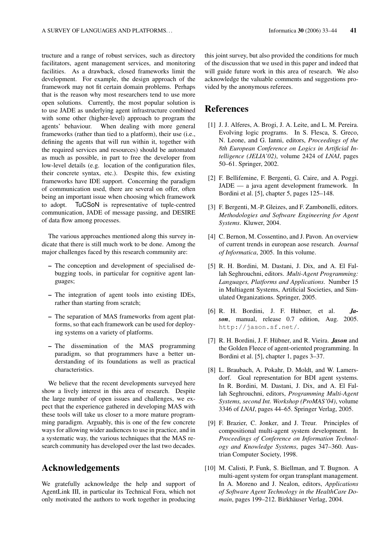tructure and a range of robust services, such as directory facilitators, agent management services, and monitoring facilities. As a drawback, closed frameworks limit the development. For example, the design approach of the framework may not fit certain domain problems. Perhaps that is the reason why most researchers tend to use more open solutions. Currently, the most popular solution is to use JADE as underlying agent infrastructure combined with some other (higher-level) approach to program the agents' behaviour. When dealing with more general frameworks (rather than tied to a platform), their use (i.e., defining the agents that will run within it, together with the required services and resources) should be automated as much as possible, in part to free the developer from low-level details (e.g. location of the configuration files, their concrete syntax, etc.). Despite this, few existing frameworks have IDE support. Concerning the paradigm of communication used, there are several on offer, often being an important issue when choosing which framework to adopt. TuCSoN is representative of tuple-centred communication, JADE of message passing, and DESIRE of data flow among processes.

The various approaches mentioned along this survey indicate that there is still much work to be done. Among the major challenges faced by this research community are:

- The conception and development of specialised debugging tools, in particular for cognitive agent languages;
- The integration of agent tools into existing IDEs, rather than starting from scratch;
- The separation of MAS frameworks from agent platforms, so that each framework can be used for deploying systems on a variety of platforms.
- The dissemination of the MAS programming paradigm, so that programmers have a better understanding of its foundations as well as practical characteristics.

We believe that the recent developments surveyed here show a lively interest in this area of research. Despite the large number of open issues and challenges, we expect that the experience gathered in developing MAS with these tools will take us closer to a more mature programming paradigm. Arguably, this is one of the few concrete ways for allowing wider audiences to use in practice, and in a systematic way, the various techniques that the MAS research community has developed over the last two decades.

## Acknowledgements

We gratefully acknowledge the help and support of AgentLink III, in particular its Technical Fora, which not only motivated the authors to work together in producing this joint survey, but also provided the conditions for much of the discussion that we used in this paper and indeed that will guide future work in this area of research. We also acknowledge the valuable comments and suggestions provided by the anonymous referees.

# **References**

- [1] J. J. Alferes, A. Brogi, J. A. Leite, and L. M. Pereira. Evolving logic programs. In S. Flesca, S. Greco, N. Leone, and G. Ianni, editors, *Proceedings of the 8th European Conference on Logics in Artificial Intelligence (JELIA'02)*, volume 2424 of *LNAI*, pages 50–61. Springer, 2002.
- [2] F. Bellifemine, F. Bergenti, G. Caire, and A. Poggi. JADE — a java agent development framework. In Bordini et al. [5], chapter 5, pages 125–148.
- [3] F. Bergenti, M.-P. Gleizes, and F. Zambonelli, editors. *Methodologies and Software Engineering for Agent Systems*. Kluwer, 2004.
- [4] C. Bernon, M. Cossentino, and J. Pavon. An overview of current trends in european aose research. *Journal of Informatica*, 2005. In this volume.
- [5] R. H. Bordini, M. Dastani, J. Dix, and A. El Fallah Seghrouchni, editors. *Multi-Agent Programming: Languages, Platforms and Applications*. Number 15 in Multiagent Systems, Artificial Societies, and Simulated Organizations. Springer, 2005.
- [6] R. H. Bordini, J. F. Hübner, et al. *Jason*, manual, release 0.7 edition, Aug. 2005. http://jason.sf.net/.
- [7] R. H. Bordini, J. F. Hübner, and R. Vieira. *Jason* and the Golden Fleece of agent-oriented programming. In Bordini et al. [5], chapter 1, pages 3–37.
- [8] L. Braubach, A. Pokahr, D. Moldt, and W. Lamersdorf. Goal representation for BDI agent systems. In R. Bordini, M. Dastani, J. Dix, and A. El Fallah Seghrouchni, editors, *Programming Multi-Agent Systems, second Int. Workshop (ProMAS'04)*, volume 3346 of *LNAI*, pages 44–65. Springer Verlag, 2005.
- [9] F. Brazier, C. Jonker, and J. Treur. Principles of compositional multi-agent system development. In *Proceedings of Conference on Information Technology and Knowledge Systems*, pages 347–360. Austrian Computer Society, 1998.
- [10] M. Calisti, P. Funk, S. Biellman, and T. Bugnon. A multi-agent system for organ transplant management. In A. Moreno and J. Nealon, editors, *Applications of Software Agent Technology in the HealthCare Domain*, pages 199–212. Birkhäuser Verlag, 2004.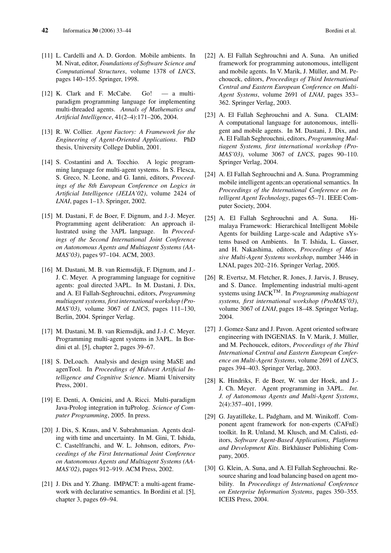- [11] L. Cardelli and A. D. Gordon. Mobile ambients. In M. Nivat, editor, *Foundations of Software Science and Computational Structures*, volume 1378 of *LNCS*, pages 140–155. Springer, 1998.
- [12] K. Clark and F. McCabe. Go! a multiparadigm programming language for implementing multi-threaded agents. *Annals of Mathematics and Artificial Intelligence*, 41(2–4):171–206, 2004.
- [13] R. W. Collier. *Agent Factory: A Framework for the Engineering of Agent-Oriented Applications*. PhD thesis, University College Dublin, 2001.
- [14] S. Costantini and A. Tocchio. A logic programming language for multi-agent systems. In S. Flesca, S. Greco, N. Leone, and G. Ianni, editors, *Proceedings of the 8th European Conference on Logics in Artificial Intelligence (JELIA'02)*, volume 2424 of *LNAI*, pages 1–13. Springer, 2002.
- [15] M. Dastani, F. de Boer, F. Dignum, and J.-J. Meyer. Programming agent deliberation: An approach illustrated using the 3APL language. In *Proceedings of the Second International Joint Conference on Autonomous Agents and Multiagent Systems (AA-MAS'03)*, pages 97–104. ACM, 2003.
- [16] M. Dastani, M. B. van Riemsdijk, F. Dignum, and J.-J. C. Meyer. A programming language for cognitive agents: goal directed 3APL. In M. Dastani, J. Dix, and A. El Fallah-Seghrouchni, editors, *Programming multiagent systems, first international workshop (Pro-MAS'03)*, volume 3067 of *LNCS*, pages 111–130, Berlin, 2004. Springer Verlag.
- [17] M. Dastani, M. B. van Riemsdijk, and J.-J. C. Meyer. Programming multi-agent systems in 3APL. In Bordini et al. [5], chapter 2, pages 39–67.
- [18] S. DeLoach. Analysis and design using MaSE and agenTool. In *Proceedings of Midwest Artificial Intelligence and Cognitive Science*. Miami University Press, 2001.
- [19] E. Denti, A. Omicini, and A. Ricci. Multi-paradigm Java-Prolog integration in tuProlog. *Science of Computer Programming*, 2005. In press.
- [20] J. Dix, S. Kraus, and V. Subrahmanian. Agents dealing with time and uncertainty. In M. Gini, T. Ishida, C. Castelfranchi, and W. L. Johnson, editors, *Proceedings of the First International Joint Conference on Autonomous Agents and Multiagent Systems (AA-MAS'02)*, pages 912–919. ACM Press, 2002.
- [21] J. Dix and Y. Zhang. IMPACT: a multi-agent framework with declarative semantics. In Bordini et al. [5], chapter 3, pages 69–94.
- [22] A. El Fallah Seghrouchni and A. Suna. An unified framework for programming autonomous, intelligent and mobile agents. In V. Marik, J. Müller, and M. Pechoucek, editors, *Proceedings of Third International Central and Eastern European Conference on Multi-Agent Systems*, volume 2691 of *LNAI*, pages 353– 362. Springer Verlag, 2003.
- [23] A. El Fallah Seghrouchni and A. Suna. CLAIM: A computational language for autonomous, intelligent and mobile agents. In M. Dastani, J. Dix, and A. El Fallah Seghrouchni, editors, *Programming Multiagent Systems, first international workshop (Pro-MAS'03)*, volume 3067 of *LNCS*, pages 90–110. Springer Verlag, 2004.
- [24] A. El Fallah Seghrouchni and A. Suna. Programming mobile intelligent agents:an operational semantics. In *Proceedings of the International Conference on Intelligent Agent Technology*, pages 65–71. IEEE Computer Society, 2004.
- [25] A. El Fallah Seghrouchni and A. Suna. Himalaya Framework: Hierarchical Intelligent Mobile Agents for building Large-scale and Adaptive sYstems based on Ambients. In T. Ishida, L. Gasser, and H. Nakashima, editors, *Proceedings of Massive Multi-Agent Systems workshop*, number 3446 in LNAI, pages 202–216. Springer Verlag, 2005.
- [26] R. Evertsz, M. Fletcher, R. Jones, J. Jarvis, J. Brusey, and S. Dance. Implementing industrial multi-agent systems using JACKTM. In *Programming multiagent systems, first international workshop (ProMAS'03)*, volume 3067 of *LNAI*, pages 18–48. Springer Verlag, 2004.
- [27] J. Gomez-Sanz and J. Pavon. Agent oriented software engineering with INGENIAS. In V. Marik, J. Müller, and M. Pechoucek, editors, *Proceedings of the Third International Central and Eastern European Conference on Multi-Agent Systems*, volume 2691 of *LNCS*, pages 394–403. Springer Verlag, 2003.
- [28] K. Hindriks, F. de Boer, W. van der Hoek, and J.- J. Ch. Meyer. Agent programming in 3APL. *Int. J. of Autonomous Agents and Multi-Agent Systems*, 2(4):357–401, 1999.
- [29] G. Jayatilleke, L. Padgham, and M. Winikoff. Component agent framework for non-experts (CAFnE) toolkit. In R. Unland, M. Klusch, and M. Calisti, editors, *Software Agent-Based Applications, Platforms and Development Kits*. Birkhäuser Publishing Company, 2005.
- [30] G. Klein, A. Suna, and A. El Fallah Seghrouchni. Resource sharing and load balancing based on agent mobility. In *Proceedings of International Conference on Enterprise Information Systems*, pages 350–355. ICEIS Press, 2004.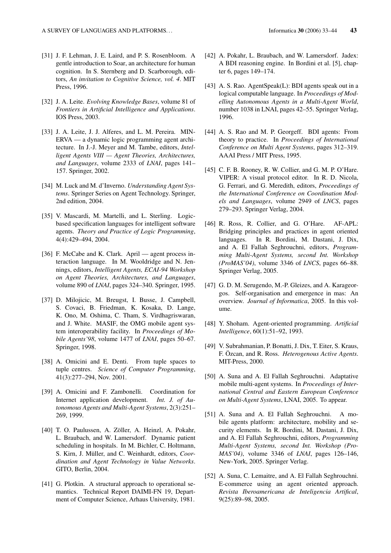- [31] J. F. Lehman, J. E. Laird, and P. S. Rosenbloom. A gentle introduction to Soar, an architecture for human cognition. In S. Sternberg and D. Scarborough, editors, *An invitation to Cognitive Science, vol. 4*. MIT Press, 1996.
- [32] J. A. Leite. *Evolving Knowledge Bases*, volume 81 of *Frontiers in Artificial Intelligence and Applications*. IOS Press, 2003.
- [33] J. A. Leite, J. J. Alferes, and L. M. Pereira. MIN-ERVA — a dynamic logic programming agent architecture. In J.-J. Meyer and M. Tambe, editors, *Intelligent Agents VIII — Agent Theories, Architectures, and Languages*, volume 2333 of *LNAI*, pages 141– 157. Springer, 2002.
- [34] M. Luck and M. d'Inverno. *Understanding Agent Systems*. Springer Series on Agent Technology. Springer, 2nd edition, 2004.
- [35] V. Mascardi, M. Martelli, and L. Sterling. Logicbased specification languages for intelligent software agents. *Theory and Practice of Logic Programming*, 4(4):429–494, 2004.
- [36] F. McCabe and K. Clark. April agent process interaction language. In M. Wooldridge and N. Jennings, editors, *Intelligent Agents, ECAI-94 Workshop on Agent Theories, Architectures, and Languages*, volume 890 of *LNAI*, pages 324–340. Springer, 1995.
- [37] D. Milojicic, M. Breugst, I. Busse, J. Campbell, S. Covaci, B. Friedman, K. Kosaka, D. Lange, K. Ono, M. Oshima, C. Tham, S. Virdhagriswaran, and J. White. MASIF, the OMG mobile agent system interoperability facility. In *Proceedings of Mobile Agents'98*, volume 1477 of *LNAI*, pages 50–67. Springer, 1998.
- [38] A. Omicini and E. Denti. From tuple spaces to tuple centres. *Science of Computer Programming*, 41(3):277–294, Nov. 2001.
- [39] A. Omicini and F. Zambonelli. Coordination for Internet application development. *Int. J. of Autonomous Agents and Multi-Agent Systems*, 2(3):251– 269, 1999.
- [40] T. O. Paulussen, A. Zöller, A. Heinzl, A. Pokahr, L. Braubach, and W. Lamersdorf. Dynamic patient scheduling in hospitals. In M. Bichler, C. Holtmann, S. Kirn, J. Müller, and C. Weinhardt, editors, *Coordination and Agent Technology in Value Networks*. GITO, Berlin, 2004.
- [41] G. Plotkin. A structural approach to operational semantics. Technical Report DAIMI-FN 19, Department of Computer Science, Arhaus University, 1981.
- [42] A. Pokahr, L. Braubach, and W. Lamersdorf. Jadex: A BDI reasoning engine. In Bordini et al. [5], chapter 6, pages 149–174.
- [43] A. S. Rao. AgentSpeak(L): BDI agents speak out in a logical computable language. In *Proceedings of Modelling Autonomous Agents in a Multi-Agent World*, number 1038 in LNAI, pages 42–55. Springer Verlag, 1996.
- [44] A. S. Rao and M. P. Georgeff. BDI agents: From theory to practice. In *Proceedings of International Conference on Multi Agent Systems*, pages 312–319. AAAI Press / MIT Press, 1995.
- [45] C. F. B. Rooney, R. W. Collier, and G. M. P. O'Hare. VIPER: A visual protocol editor. In R. D. Nicola, G. Ferrari, and G. Meredith, editors, *Proceedings of the International Conference on Coordination Models and Languages*, volume 2949 of *LNCS*, pages 279–293. Springer Verlag, 2004.
- [46] R. Ross, R. Collier, and G. O'Hare. AF-APL: Bridging principles and practices in agent oriented languages. In R. Bordini, M. Dastani, J. Dix, and A. El Fallah Seghrouchni, editors, *Programming Multi-Agent Systems, second Int. Workshop (ProMAS'04)*, volume 3346 of *LNCS*, pages 66–88. Springer Verlag, 2005.
- [47] G. D. M. Serugendo, M.-P. Gleizes, and A. Karageorgos. Self-organisation and emergence in mas: An overview. *Journal of Informatica*, 2005. In this volume.
- [48] Y. Shoham. Agent-oriented programming. *Artificial Intelligence*, 60(1):51–92, 1993.
- [49] V. Subrahmanian, P. Bonatti, J. Dix, T. Eiter, S. Kraus, F. Özcan, and R. Ross. *Heterogenous Active Agents*. MIT-Press, 2000.
- [50] A. Suna and A. El Fallah Seghrouchni. Adaptative mobile multi-agent systems. In *Proceedings of International Central and Eastern European Conference on Multi-Agent Systems*, LNAI, 2005. To appear.
- [51] A. Suna and A. El Fallah Seghrouchni. A mobile agents platform: architecture, mobility and security elements. In R. Bordini, M. Dastani, J. Dix, and A. El Fallah Seghrouchni, editors, *Programming Multi-Agent Systems, second Int. Workshop (Pro-MAS'04)*, volume 3346 of *LNAI*, pages 126–146, New-York, 2005. Springer Verlag.
- [52] A. Suna, C. Lemaitre, and A. El Fallah Seghrouchni. E-commerce using an agent oriented approach. *Revista Iberoamericana de Inteligencia Artifical*, 9(25):89–98, 2005.